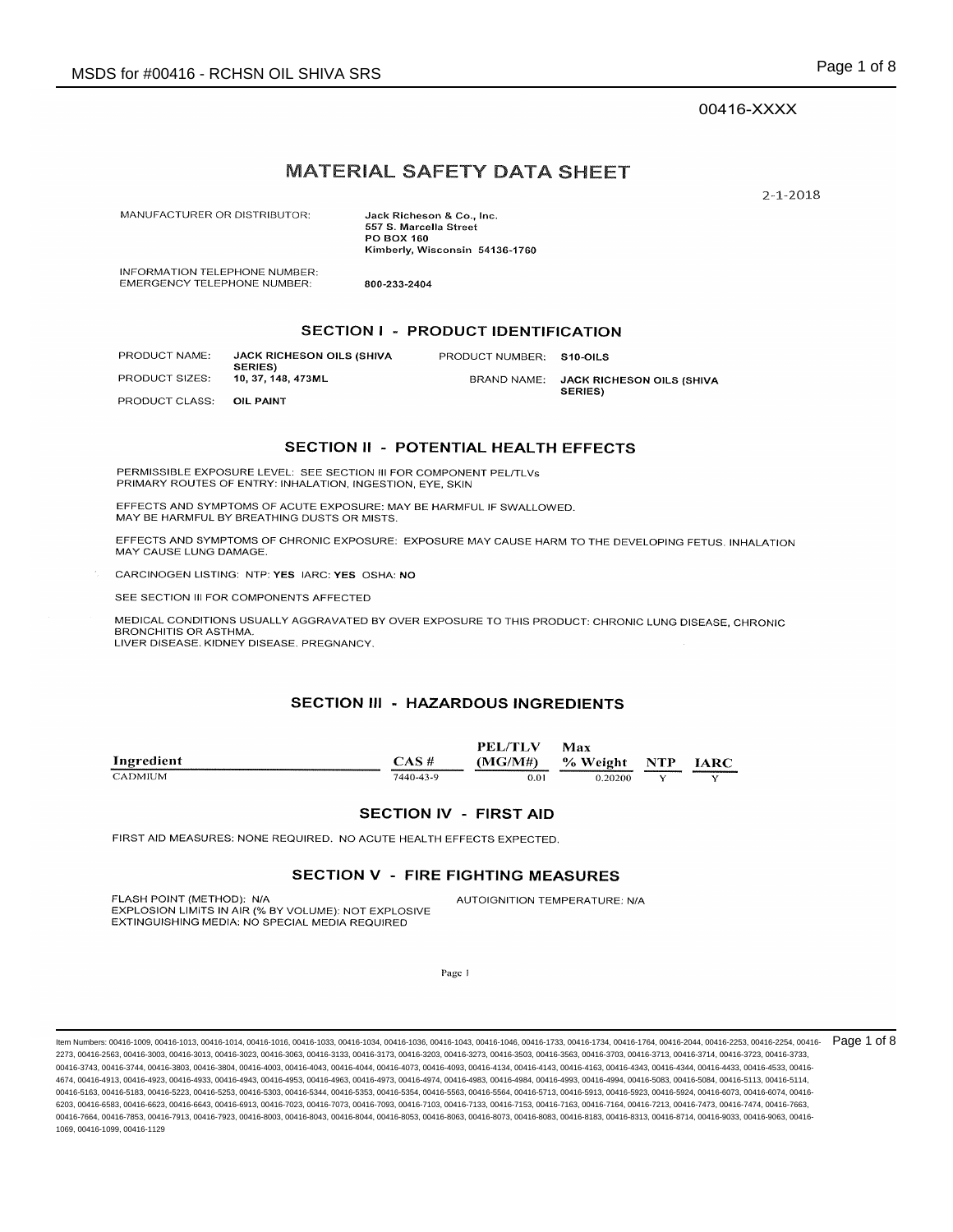### 00416-XXXX

# **MATERIAL SAFETY DATA SHEET**

 $2 - 1 - 2018$ 

MANUFACTURER OR DISTRIBUTOR:

Jack Richeson & Co., Inc. 557 S. Marcella Street PO BOX 160 Kimberly, Wisconsin 54136-1760

INFORMATION TELEPHONE NUMBER: **EMERGENCY TELEPHONE NUMBER:** 

### **SECTION I - PRODUCT IDENTIFICATION**

PRODUCT NAME: **JACK RICHESON OILS (SHIVA** PRODUCT NUMBER: S10-OILS **SERIES**) PRODUCT SIZES: 10, 37, 148, 473ML **BRAND NAME:** JACK RICHESON OILS (SHIVA **SERIES)** PRODUCT CLASS: OIL PAINT

800-233-2404

## **SECTION II - POTENTIAL HEALTH EFFECTS**

PERMISSIBLE EXPOSURE LEVEL: SEE SECTION III FOR COMPONENT PEL/TLVs PRIMARY ROUTES OF ENTRY: INHALATION, INGESTION, EYE, SKIN

EFFECTS AND SYMPTOMS OF ACUTE EXPOSURE: MAY BE HARMFUL IF SWALLOWED. MAY BE HARMFUL BY BREATHING DUSTS OR MISTS.

EFFECTS AND SYMPTOMS OF CHRONIC EXPOSURE: EXPOSURE MAY CAUSE HARM TO THE DEVELOPING FETUS. INHALATION MAY CAUSE LUNG DAMAGE.

CARCINOGEN LISTING: NTP: YES IARC: YES OSHA: NO

SEE SECTION III FOR COMPONENTS AFFECTED

MEDICAL CONDITIONS USUALLY AGGRAVATED BY OVER EXPOSURE TO THIS PRODUCT: CHRONIC LUNG DISEASE, CHRONIC **BRONCHITIS OR ASTHMA** LIVER DISEASE. KIDNEY DISEASE. PREGNANCY.

## **SECTION III - HAZARDOUS INGREDIENTS**

|                |           | <b>PEL/TLV</b> | Max          |   |             |
|----------------|-----------|----------------|--------------|---|-------------|
| Ingredient     | $CAS \#$  | (MG/M#)        | % Weight NTP |   | <b>IARC</b> |
| <b>CADMIUM</b> | 7440-43-9 | 0.01           | 0.20200      | v |             |

#### SECTION IV - FIRST AID

FIRST AID MEASURES: NONE REQUIRED. NO ACUTE HEALTH EFFECTS EXPECTED.

## **SECTION V - FIRE FIGHTING MEASURES**

FLASH POINT (METHOD): N/A EXPLOSION LIMITS IN AIR (% BY VOLUME): NOT EXPLOSIVE EXTINGUISHING MEDIA: NO SPECIAL MEDIA REQUIRED

AUTOIGNITION TEMPERATURE: N/A

Page 1

Item Numbers: 00416-1009, 00416-1013, 00416-1014, 00416-1016, 00416-1033, 00416-1034, 00416-1036, 00416-1046, 00416-1734, 00416-1734, 00416-1784, 00416-2044, 00416-2253, 00416-2253, 00416-2254, 00416-2254, 00416-2054, 0041 2273, 00416-2563, 00416-3003, 00416-3013, 00416-3023, 00416-3063, 00416-3133, 00416-3173, 00416-3203, 00416-3273, 00416-3503, 00416-3563, 00416-3703, 00416-3713, 00416-3714, 00416-3723, 00416-3723, 00416-3723, 00416-373, 00 00416-3743, 00416-3744, 00416-3803, 00416-3804, 00416-4003, 00416-4043, 00416-4044, 00416-4073, 00416-4033, 00416-4134, 00416-4143, 00416-4163, 00416-4343, 00416-4344, 00416-4343, 00416-4343, 00416-4343, 00416-4343, 00416-4 4674, 00416-4913, 00416-4923, 00416-4933, 00416-4943, 00416-4953, 00416-4963, 00416-4973, 00416-4974, 00416-4983, 00416-4984, 00416-4983, 00416-4984, 00416-5083, 00416-5084, 00416-5084, 00416-5084, 00416-5084, 00416-5084, 0 00416-5163,00416-5183,00416-5223,00416-5253,00416-5303,00416-5344,00416-5353,00416-5354,00416-5563,00416-5564,00416-5713,00416-5913,00416-5923,00416-5924,00416-6073,00416-6974,00416-6203, 00416-6583, 00416-6623, 00416-6643, 00416-6913, 00416-7073, 00416-7073, 00416-7093, 00416-7103, 00416-7133, 00416-7153, 00416-7163, 00416-7164, 00416-7213, 00416-7473, 00416-714, 00416-7473, 00416-7474, 00416-7168, 00416-7664, 00416-7853, 00416-7913, 00416-7923, 00416-8003, 00416-8043, 00416-8044, 00416-8053, 00416-8063, 00416-8073, 00416-8033, 00416-8183, 00416-8313, 00416-8744, 00416-9063, 00416-874, 00416-9063, 00416-814 1069, 00416-1099, 00416-1129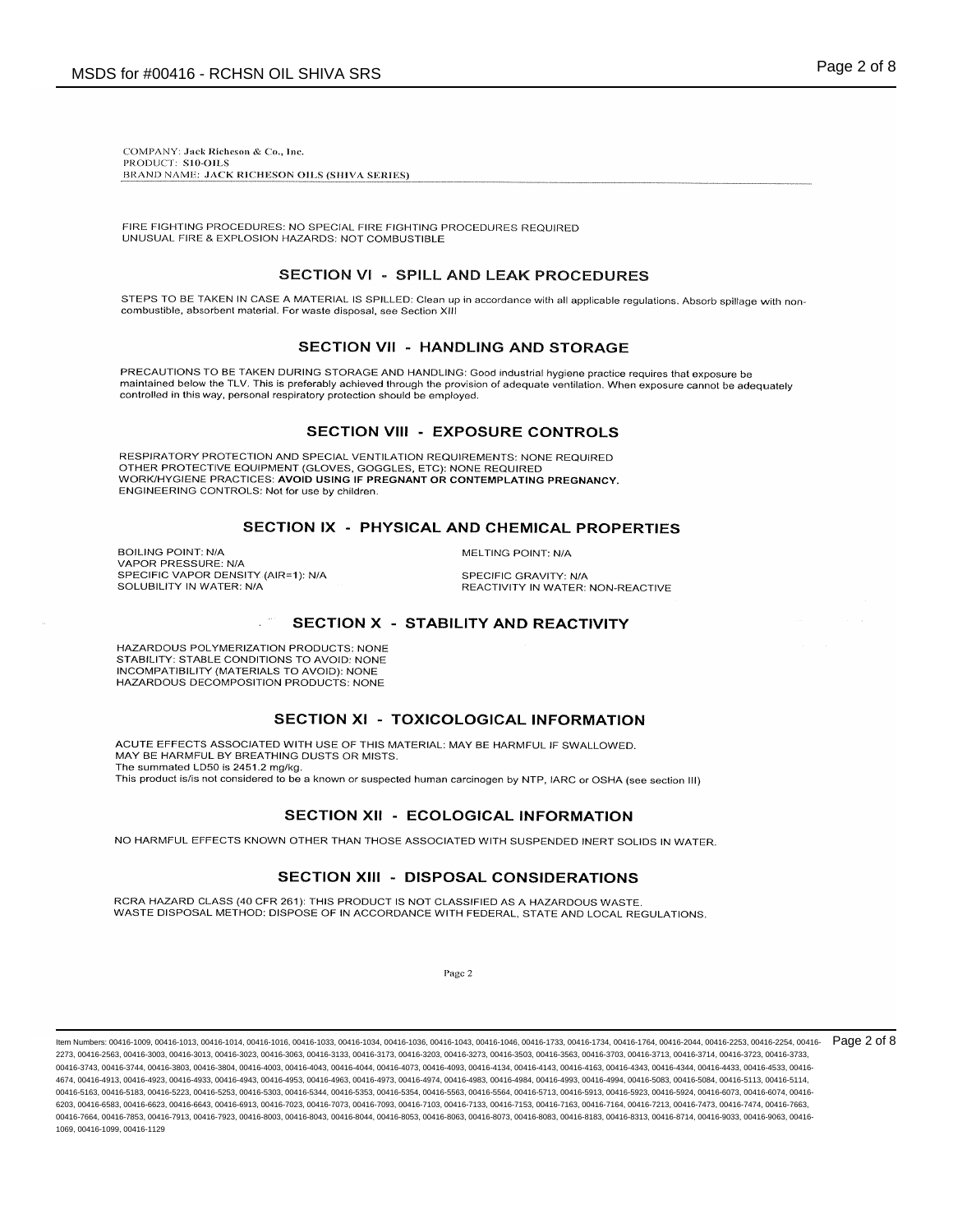FIRE FIGHTING PROCEDURES: NO SPECIAL FIRE FIGHTING PROCEDURES REQUIRED UNUSUAL FIRE & EXPLOSION HAZARDS: NOT COMBUSTIBLE

### SECTION VI - SPILL AND LEAK PROCEDURES

STEPS TO BE TAKEN IN CASE A MATERIAL IS SPILLED: Clean up in accordance with all applicable regulations. Absorb spillage with noncombustible, absorbent material. For waste disposal, see Section XIII

# SECTION VII - HANDLING AND STORAGE

PRECAUTIONS TO BE TAKEN DURING STORAGE AND HANDLING: Good industrial hygiene practice requires that exposure be maintained below the TLV. This is preferably achieved through the provision of adequate ventilation. When exposure cannot be adequately controlled in this way, personal respiratory protection should be employed.

#### **SECTION VIII - EXPOSURE CONTROLS**

RESPIRATORY PROTECTION AND SPECIAL VENTILATION REQUIREMENTS: NONE REQUIRED OTHER PROTECTIVE EQUIPMENT (GLOVES, GOGGLES, ETC): NONE REQUIRED WORK/HYGIENE PRACTICES: AVOID USING IF PREGNANT OR CONTEMPLATING PREGNANCY. ENGINEERING CONTROLS: Not for use by children.

# SECTION IX - PHYSICAL AND CHEMICAL PROPERTIES

**BOILING POINT: N/A VAPOR PRESSURE: N/A** SPECIFIC VAPOR DENSITY (AIR=1): N/A SOLUBILITY IN WATER: N/A

**MELTING POINT: N/A** 

SPECIFIC GRAVITY: N/A REACTIVITY IN WATER: NON-REACTIVE

## SECTION X - STABILITY AND REACTIVITY

HAZARDOUS POLYMERIZATION PRODUCTS: NONE STABILITY: STABLE CONDITIONS TO AVOID: NONE<br>INCOMPATIBILITY (MATERIALS TO AVOID): NONE HAZARDOUS DECOMPOSITION PRODUCTS: NONE

### SECTION XI - TOXICOLOGICAL INFORMATION

ACUTE EFFECTS ASSOCIATED WITH USE OF THIS MATERIAL: MAY BE HARMFUL IF SWALLOWED. MAY BE HARMFUL BY BREATHING DUSTS OR MISTS. The summated LD50 is 2451.2 mg/kg. This product is/is not considered to be a known or suspected human carcinogen by NTP, IARC or OSHA (see section III)

# SECTION XII - ECOLOGICAL INFORMATION

NO HARMFUL EFFECTS KNOWN OTHER THAN THOSE ASSOCIATED WITH SUSPENDED INERT SOLIDS IN WATER.

#### SECTION XIII - DISPOSAL CONSIDERATIONS

RCRA HAZARD CLASS (40 CFR 261): THIS PRODUCT IS NOT CLASSIFIED AS A HAZARDOUS WASTE. WASTE DISPOSAL METHOD: DISPOSE OF IN ACCORDANCE WITH FEDERAL, STATE AND LOCAL REGULATIONS.

Page 2

Item Numbers: 00416-1009, 00416-1013, 00416-1014, 00416-1016, 00416-1033, 00416-1034, 00416-1036, 00416-1046, 00416-1046, 00416-1733, 00416-1734, 00416-1764, 00416-2044, 00416-2253, 00416-2253, 00416-1253, 00416-1784, 0041 2273, 00416-2563, 00416-3003, 00416-3013, 00416-3023, 00416-3063, 00416-3133, 00416-3173, 00416-3203, 00416-3273, 00416-3503, 00416-3563, 00416-3703, 00416-3713, 00416-3713, 00416-3713, 00416-3714, 00416-3723, 00416-3723, 0 00416-3743, 00416-3744, 00416-3803, 00416-3804, 00416-4003, 00416-4043, 00416-4044, 00416-4073, 00416-4033, 00416-4134, 00416-4143, 00416-4163, 00416-4343, 00416-4344, 00416-4343, 00416-4343, 00416-4343, 00416-4343, 00416-4 4674, 00416-4913, 00416-4923, 00416-4933, 00416-4943, 00416-4953, 00416-4963, 00416-4973, 00416-4974, 00416-4983, 00416-4984, 00416-4983, 00416-5083, 00416-5084, 00416-5084, 00416-5084, 00416-5084, 00416-5084, 00416-5084, 0 00416-5163,00416-5183,00416-5223,00416-5253,00416-5303,00416-5344,00416-5353,00416-5354,00416-5563,00416-5564,00416-5713,00416-5913,00416-5923,00416-5924,00416-6073,00416-6974,00416-6203, 00416-6583, 00416-6623, 00416-6643, 00416-6913, 00416-7073, 00416-7073, 00416-7093, 00416-7103, 00416-7133, 00416-7153, 00416-7163, 00416-7164, 00416-7213, 00416-7473, 00416-714, 00416-7473, 00416-7474, 00416-7168, 00416-7664, 00416-7853, 00416-7913, 00416-7923, 00416-8003, 00416-8043, 00416-8044, 00416-8053, 00416-8063, 00416-8073, 00416-8033, 00416-8183, 00416-8313, 00416-8744, 00416-9063, 00416-874, 00416-9063, 00416-814 1069, 00416-1099, 00416-1129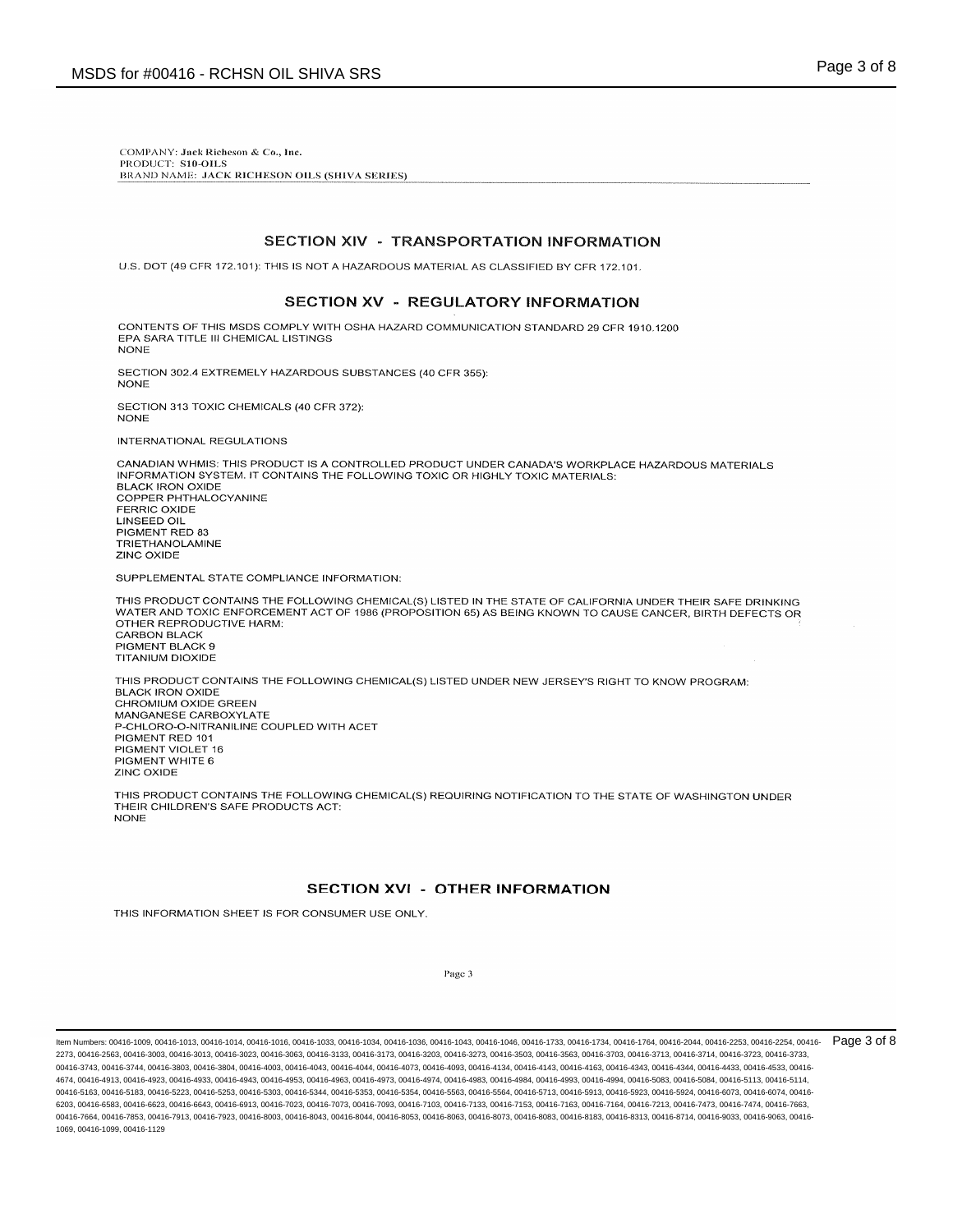# SECTION XIV - TRANSPORTATION INFORMATION

U.S. DOT (49 CFR 172.101): THIS IS NOT A HAZARDOUS MATERIAL AS CLASSIFIED BY CFR 172.101.

#### SECTION XV - REGULATORY INFORMATION

CONTENTS OF THIS MSDS COMPLY WITH OSHA HAZARD COMMUNICATION STANDARD 29 CFR 1910.1200 EPA SARA TITLE III CHEMICAL LISTINGS **NONE** 

SECTION 302.4 EXTREMELY HAZARDOUS SUBSTANCES (40 CFR 355): **NONE** 

SECTION 313 TOXIC CHEMICALS (40 CFR 372): **NONE** 

INTERNATIONAL REGULATIONS

CANADIAN WHMIS: THIS PRODUCT IS A CONTROLLED PRODUCT UNDER CANADA'S WORKPLACE HAZARDOUS MATERIALS INFORMATION SYSTEM. IT CONTAINS THE FOLLOWING TOXIC OR HIGHLY TOXIC MATERIALS: BLACK IRON OXIDE COPPER PHTHALOCYANINE **FERRIC OXIDE** LINSEED OIL PIGMENT RED 83 **TRIETHANOLAMINE** ZINC OXIDE

SUPPLEMENTAL STATE COMPLIANCE INFORMATION:

THIS PRODUCT CONTAINS THE FOLLOWING CHEMICAL(S) LISTED IN THE STATE OF CALIFORNIA UNDER THEIR SAFE DRINKING WATER AND TOXIC ENFORCEMENT ACT OF 1986 (PROPOSITION 65) AS BEING KNOWN TO CAUSE CANCER, BIRTH DEFECTS OR OTHER REPRODUCTIVE HARM: **CARBON BLACK** PIGMENT BLACK 9 **TITANIUM DIOXIDE** 

THIS PRODUCT CONTAINS THE FOLLOWING CHEMICAL(S) LISTED UNDER NEW JERSEY'S RIGHT TO KNOW PROGRAM: **BLACK IRON OXIDE** CHROMIUM OXIDE GREEN MANGANESE CARBOXYLATE P-CHLORO-O-NITRANILINE COUPLED WITH ACET PIGMENT RED 101 PIGMENT VIOLET 16 PIGMENT WHITE 6 ZINC OXIDE

THIS PRODUCT CONTAINS THE FOLLOWING CHEMICAL(S) REQUIRING NOTIFICATION TO THE STATE OF WASHINGTON UNDER THEIR CHILDREN'S SAFE PRODUCTS ACT: **NONE** 

# **SECTION XVI - OTHER INFORMATION**

THIS INFORMATION SHEET IS FOR CONSUMER USE ONLY.

Page 3

Item Numbers: 00416-1009, 00416-1013, 00416-1014, 00416-1016, 00416-1033, 00416-1034, 00416-1036, 00416-1043, 00416-1046, 00416-1733, 00416-1734, 00416-1764, 00416-2044, 00416-2253, 00416-2253, 00416-1253, 00416-1784, 0041 2273, 00416-2563, 00416-3003, 00416-3013, 00416-3023, 00416-3063, 00416-3133, 00416-3173, 00416-3203, 00416-3273, 00416-3503, 00416-3563, 00416-3703, 00416-3713, 00416-3713, 00416-3713, 00416-3714, 00416-3723, 00416-3723, 0 00416-3743, 00416-3744, 00416-3803, 00416-3804, 00416-4003, 00416-4043, 00416-4044, 00416-4073, 00416-4033, 00416-4134, 00416-4143, 00416-4163, 00416-4343, 00416-4344, 00416-4343, 00416-4343, 00416-4343, 00416-4343, 00416-4 4674, 00416-4913, 00416-4923, 00416-4933, 00416-4943, 00416-4953, 00416-4963, 00416-4973, 00416-4974, 00416-4983, 00416-4984, 00416-4983, 00416-5083, 00416-5084, 00416-5084, 00416-5084, 00416-5084, 00416-5084, 00416-5084, 0 00416-5163, 00416-5183, 00416-5253, 00416-5253, 00416-5303, 00416-5344, 00416-5353, 00416-5354, 00416-5563, 00416-5564, 00416-5713, 00416-5913, 00416-5923, 00416-5924, 00416-6073, 00416-6073, 00416-6074, 00416-6203, 00416-6583, 00416-6623, 00416-6643, 00416-6913, 00416-7073, 00416-7073, 00416-7093, 00416-7103, 00416-7133, 00416-7153, 00416-7163, 00416-7164, 00416-7213, 00416-7473, 00416-714, 00416-7473, 00416-7474, 00416-7168, 00416-7664, 00416-7853, 00416-7913, 00416-7923, 00416-8003, 00416-8043, 00416-8044, 00416-8053, 00416-8063, 00416-8073, 00416-8083, 00416-8083, 00416-813, 00416-8713, 00416-8714, 00416-9033, 00416-9063, 00416-812 1069, 00416-1099, 00416-1129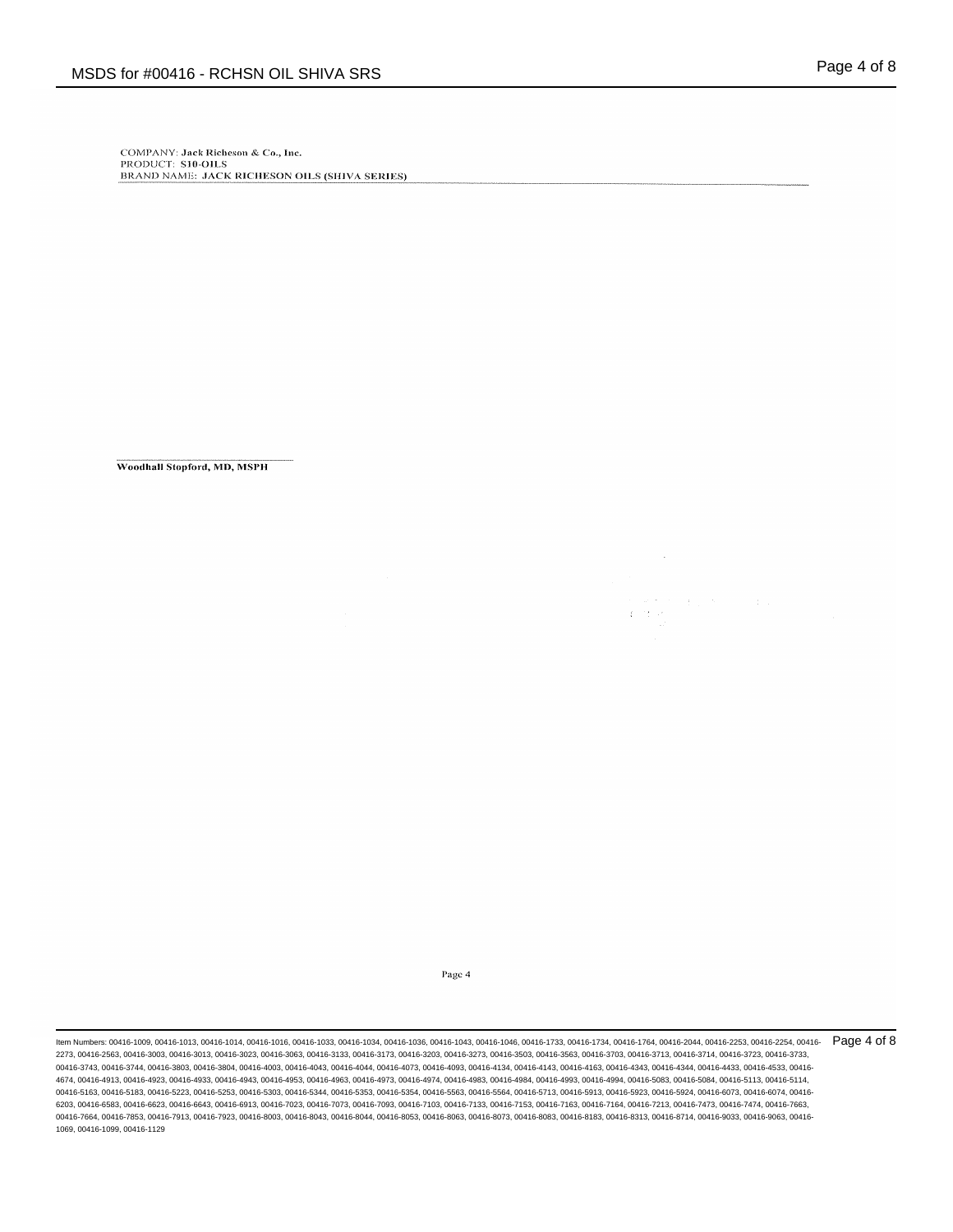Woodhall Stopford, MD, MSPH

Page 4

ltem Numbers: 00416-1009, 00416-1013, 00416-1014, 00416-1016, 00416-1033, 00416-1034, 00416-1036, 00416-1046, 00416-1733, 00416-1734, 00416-1764, 00416-2044, 00416-2253, 00416-2253, 00416-2254, 00416-2254, 00416-2254, 0041 2273, 00416-2563, 00416-3003, 00416-3013, 00416-3023, 00416-3063, 00416-3133, 00416-3173, 00416-3203, 00416-3273, 00416-3503, 00416-3563, 00416-3703, 00416-3713, 00416-3714, 00416-3723, 00416-3733, 00416-3743, 00416-3744, 00416-3803, 00416-3804, 00416-4003, 00416-4044, 00416-4044, 0040-403, 00416-4134, 00416-4143, 00416-4163, 00416-4343, 00416-4434, 00416-4433, 00416-4533, 00416-4163, 00416-4163, 00416-4534, 00416-453 4674, 00416-4913, 00416-4923, 00416-4933, 00416-4943, 00416-4953, 00416-4963, 00416-4973, 00416-4974, 00416-4983, 00416-4984, 00416-4993, 00416-4994, 00416-5083, 00416-5084, 00416-5113, 00416-5114, 00416-5163, 00416-5183, 00416-5223, 00416-5253, 00416-5303, 00416-5344, 00416-5353, 00416-5354, 00416-5563, 00416-5564, 00416-5713, 00416-5913, 00416-5923, 00416-5924, 00416-6073, 00416-6074, 00416- 6203, 00416-6583, 00416-6623, 00416-6643, 00416-6913, 00416-7023, 00416-7073, 00416-7093, 00416-7103, 00416-7133, 00416-7153, 00416-7163, 00416-7164, 00416-7213, 00416-7473, 00416-7474, 00416-7663, 00416-7664, 00416-7853, 00416-7913, 00416-7923, 00416-8003, 00416-8043, 00416-8044, 00416-8053, 00416-8063, 00416-8073, 00416-8083, 00416-8183, 00416-8313, 00416-8714, 00416-9033, 00416-9063, 00416- 1069, 00416-1099, 00416-1129

 $\sim 10$ 

 $\frac{d}{d\omega}\frac{\partial^2}{\partial t}\frac{\partial^2}{\partial t^2}=\frac{d\omega}{d\omega}\frac{\partial^2}{\partial t^2}+\frac{d\omega}{d\omega}\frac{\partial^2}{\partial t^2},$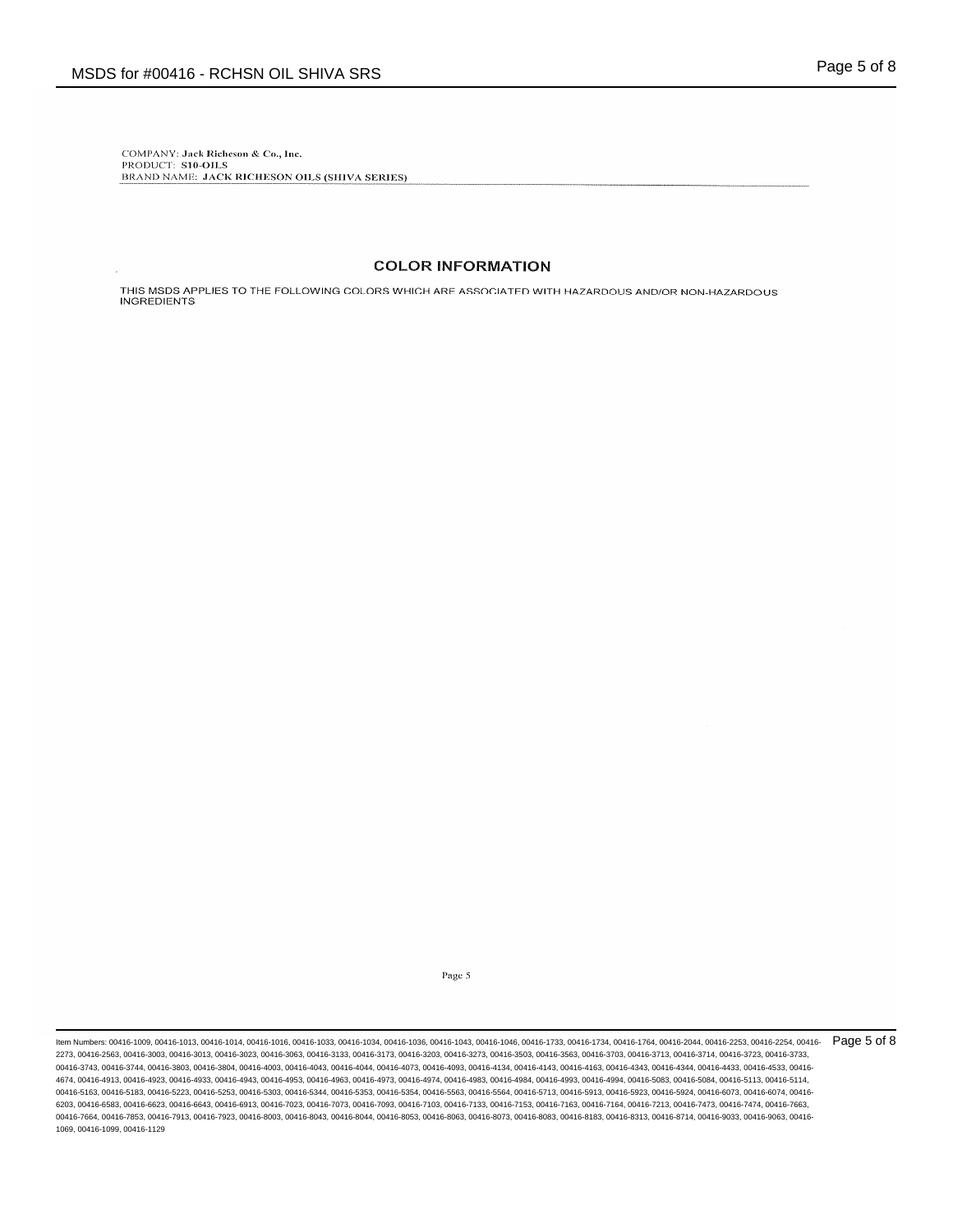# **COLOR INFORMATION**

THIS MSDS APPLIES TO THE FOLLOWING COLORS WHICH ARE ASSOCIATED WITH HAZARDOUS AND/OR NON-HAZARDOUS **INGREDIENTS** 

Page 5

ltem Numbers: 00416-1009, 00416-1013, 00416-1014, 00416-1016, 00416-1033, 00416-1034, 00416-1036, 00416-1046, 00416-1733, 00416-1734, 00416-1764, 00416-2044, 00416-2253, 00416-2253, 00416-2254, 00416-2254, 00416-2254, 0041 2273, 00416-2563, 00416-3003, 00416-3013, 00416-3023, 00416-3063, 00416-3133, 00416-3173, 00416-3203, 00416-3273, 00416-3503, 00416-3563, 00416-3703, 00416-3713, 00416-3714, 00416-3723, 00416-3733, 00416-3743, 00416-3744, 00416-3803, 00416-3804, 00416-4003, 00416-4044, 00416-4044, 0040-403, 00416-4134, 00416-4143, 00416-4163, 00416-4343, 00416-4434, 00416-4433, 00416-4533, 00416-4163, 00416-4163, 00416-4534, 00416-453 4674, 00416-4913, 00416-4923, 00416-4933, 00416-4943, 00416-4953, 00416-4963, 00416-4973, 00416-4974, 00416-4983, 00416-4984, 00416-4993, 00416-4994, 00416-5083, 00416-5084, 00416-5113, 00416-5114, 00416-5163, 00416-5183, 00416-5223, 00416-5253, 00416-5303, 00416-5344, 00416-5353, 00416-5354, 00416-5563, 00416-5564, 00416-5713, 00416-5913, 00416-5923, 00416-5924, 00416-6073, 00416-6074, 00416- 6203, 00416-6583, 00416-6623, 00416-6643, 00416-6913, 00416-7023, 00416-7073, 00416-7093, 00416-7103, 00416-7133, 00416-7153, 00416-7163, 00416-7164, 00416-7213, 00416-7473, 00416-7474, 00416-7663, 00416-7664, 00416-7853, 00416-7913, 00416-7923, 00416-8003, 00416-8043, 00416-8044, 00416-8053, 00416-8063, 00416-8073, 00416-8083, 00416-8183, 00416-8313, 00416-8714, 00416-9033, 00416-9063, 00416- 1069, 00416-1099, 00416-1129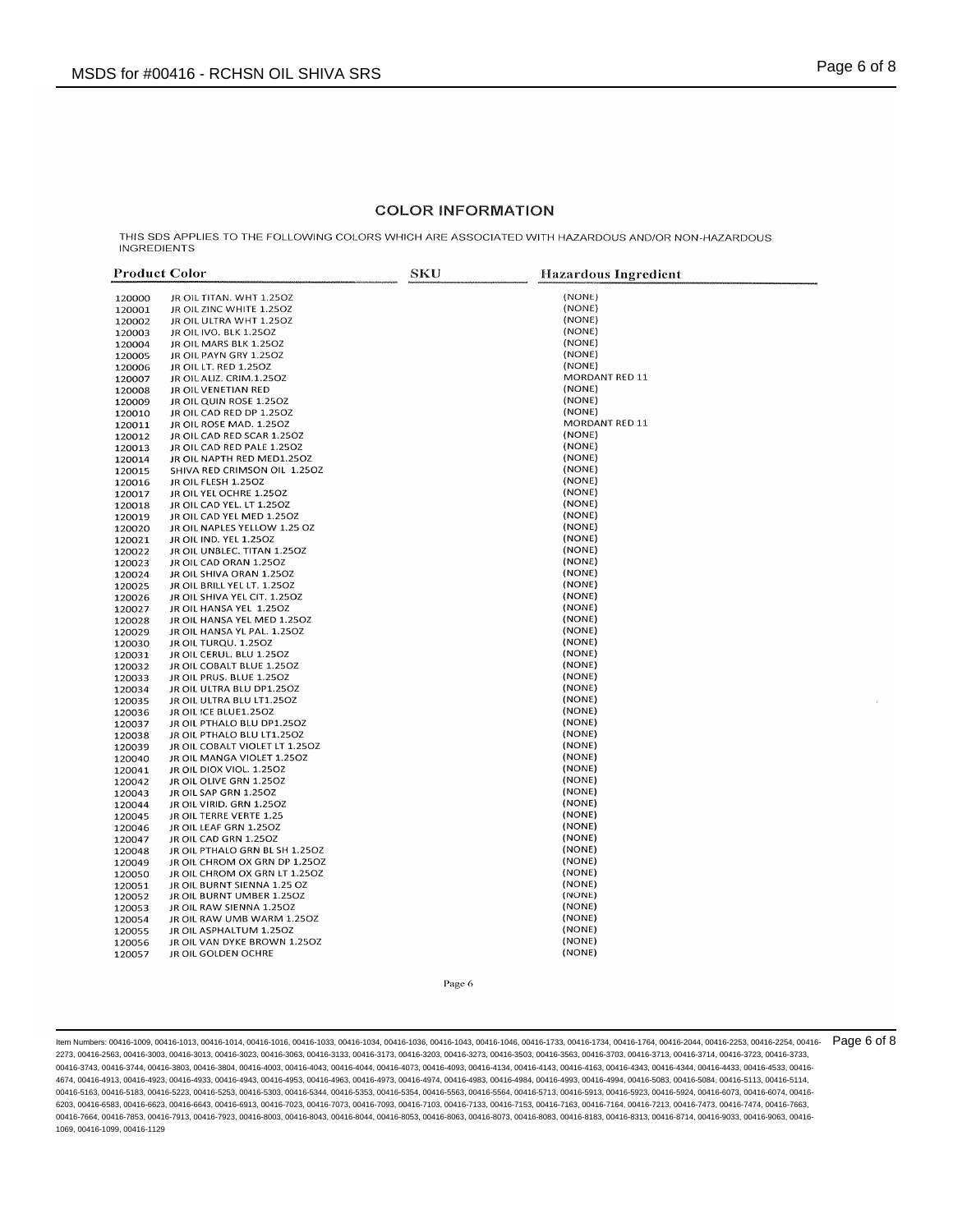## **COLOR INFORMATION**

THIS SDS APPLIES TO THE FOLLOWING COLORS WHICH ARE ASSOCIATED WITH HAZARDOUS AND/OR NON-HAZARDOUS **INGREDIENTS** 

| <b>Product Color</b> |                                                   | SKU | <b>Hazardous Ingredient</b> |
|----------------------|---------------------------------------------------|-----|-----------------------------|
| 120000               | JR OIL TITAN. WHT 1.250Z                          |     | (NONE)                      |
| 120001               | JR OIL ZINC WHITE 1.250Z                          |     | (NONE)                      |
| 120002               | JR OIL ULTRA WHT 1.250Z                           |     | (NONE)                      |
| 120003               | JR OIL IVO. BLK 1.25OZ                            |     | (NONE)                      |
|                      | JR OIL MARS BLK 1.25OZ                            |     | (NONE)                      |
| 120004<br>120005     | JR OIL PAYN GRY 1.25OZ                            |     | (NONE)                      |
| 120006               | JR OIL LT. RED 1.25OZ                             |     | (NONE)                      |
| 120007               | JR OIL ALIZ. CRIM.1.25OZ                          |     | MORDANT RED 11              |
|                      | JR OIL VENETIAN RED                               |     | (NONE)                      |
| 120008               | JR OIL QUIN ROSE 1.250Z                           |     | (NONE)                      |
| 120009<br>120010     | JR OIL CAD RED DP 1.250Z                          |     | (NONE)                      |
| 120011               | JR OIL ROSE MAD. 1.250Z                           |     | MORDANT RED 11              |
| 120012               | JR OIL CAD RED SCAR 1.25OZ                        |     | (NONE)                      |
| 120013               | JR OIL CAD RED PALE 1.25OZ                        |     | (NONE)                      |
| 120014               | JR OIL NAPTH RED MED1.25OZ                        |     | (NONE)                      |
| 120015               | SHIVA RED CRIMSON OIL 1.250Z                      |     | (NONE)                      |
| 120016               | JR OIL FLESH 1.25OZ                               |     | (NONE)                      |
| 120017               | JR OIL YEL OCHRE 1.25OZ                           |     | (NONE)                      |
| 120018               | JR OIL CAD YEL. LT 1.25OZ                         |     | (NONE)                      |
| 120019               | JR OIL CAD YEL MED 1.25OZ                         |     | (NONE)                      |
| 120020               | JR OIL NAPLES YELLOW 1.25 OZ                      |     | (NONE)                      |
| 120021               | JR OIL IND. YEL 1.25OZ                            |     | (NONE)                      |
| 120022               | JR OIL UNBLEC. TITAN 1.25OZ                       |     | (NONE)                      |
| 120023               | JR OIL CAD ORAN 1.25OZ                            |     | (NONE)                      |
| 120024               | JR OIL SHIVA ORAN 1.250Z                          |     | (NONE)                      |
| 120025               | JR OIL BRILL YEL LT. 1.25OZ                       |     | (NONE)                      |
| 120026               | JR OIL SHIVA YEL CIT. 1.250Z                      |     | (NONE)                      |
| 120027               | JR OIL HANSA YEL 1.25OZ                           |     | (NONE)                      |
| 120028               | JR OIL HANSA YEL MED 1.250Z                       |     | (NONE)                      |
| 120029               | JR OIL HANSA YL PAL. 1.25OZ                       |     | (NONE)                      |
| 120030               | JR OIL TURQU. 1.250Z                              |     | (NONE)                      |
| 120031               | JR OIL CERUL. BLU 1.25OZ                          |     | (NONE)                      |
| 120032               | JR OIL COBALT BLUE 1.250Z                         |     | (NONE)                      |
| 120033               | JR OIL PRUS. BLUE 1.25OZ                          |     | (NONE)                      |
| 120034               | JR OIL ULTRA BLU DP1.250Z                         |     | (NONE)                      |
| 120035               | JR OIL ULTRA BLU LT1.25OZ                         |     | (NONE)                      |
| 120036               | JR OIL ICE BLUE1.25OZ                             |     | (NONE)                      |
| 120037               | JR OIL PTHALO BLU DP1.250Z                        |     | (NONE)                      |
| 120038               | JR OIL PTHALO BLU LT1.25OZ                        |     | (NONE)                      |
| 120039               | JR OIL COBALT VIOLET LT 1.250Z                    |     | (NONE)                      |
| 120040               | JR OIL MANGA VIOLET 1.25OZ                        |     | (NONE)                      |
| 120041               | JR OIL DIOX VIOL. 1.250Z                          |     | (NONE)                      |
| 120042               | JR OIL OLIVE GRN 1.25OZ                           |     | (NONE)<br>(NONE)            |
| 120043               | JR OIL SAP GRN 1.25OZ                             |     | (NONE)                      |
| 120044               | JR OIL VIRID. GRN 1.25OZ                          |     | (NONE)                      |
| 120045               | JR OIL TERRE VERTE 1.25<br>JR OIL LEAF GRN 1.25OZ |     | (NONE)                      |
| 120046               | JR OIL CAD GRN 1.25OZ                             |     | (NONE)                      |
| 120047<br>120048     | JR OIL PTHALO GRN BL SH 1.25OZ                    |     | (NONE)                      |
| 120049               | JR OIL CHROM OX GRN DP 1.25OZ                     |     | (NONE)                      |
| 120050               | JR OIL CHROM OX GRN LT 1.25OZ                     |     | (NONE)                      |
| 120051               | JR OIL BURNT SIENNA 1.25 OZ                       |     | (NONE)                      |
| 120052               | JR OIL BURNT UMBER 1.25OZ                         |     | (NONE)                      |
| 120053               | JR OIL RAW SIENNA 1.25OZ                          |     | (NONE)                      |
| 120054               | JR OIL RAW UMB WARM 1.25OZ                        |     | (NONE)                      |
| 120055               | JR OIL ASPHALTUM 1.25OZ                           |     | (NONE)                      |
| 120056               | JR OIL VAN DYKE BROWN 1.25OZ                      |     | (NONE)                      |
| 120057               | JR OIL GOLDEN OCHRE                               |     | (NONE)                      |
|                      |                                                   |     |                             |

Page 6

ltem Numbers: 00416-1009, 00416-1013, 00416-1014, 00416-1016, 00416-1033, 00416-1034, 00416-1036, 00416-1046, 00416-1733, 00416-1734, 00416-1764, 00416-2044, 00416-2253, 00416-2253, 00416-2254, 00416-2254, 00416-2254, 0041 2273, 00416-2563, 00416-3003, 00416-3013, 00416-3023, 00416-3063, 00416-3133, 00416-3173, 00416-3203, 00416-3273, 00416-3503, 00416-3563, 00416-3703, 00416-3713, 00416-3714, 00416-3723, 00416-3733, 00416-3743, 00416-3744, 00416-3803, 00416-3804, 00416-4003, 00416-4044, 00416-4044, 0040-403, 00416-4134, 00416-4143, 00416-4163, 00416-4343, 00416-4434, 00416-4433, 00416-4533, 00416-4163, 00416-4163, 00416-4534, 00416-453 4674, 00416-4913, 00416-4923, 00416-4933, 00416-4943, 00416-4953, 00416-4963, 00416-4973, 00416-4974, 00416-4983, 00416-4984, 00416-4993, 00416-4994, 00416-5083, 00416-5084, 00416-5113, 00416-5114, 00416-5163, 00416-5183, 00416-5223, 00416-5253, 00416-5303, 00416-5344, 00416-5353, 00416-5354, 00416-5563, 00416-5564, 00416-5713, 00416-5913, 00416-5923, 00416-5924, 00416-6073, 00416-6074, 00416- 6203, 00416-6583, 00416-6623, 00416-6643, 00416-6913, 00416-7023, 00416-7073, 00416-7093, 00416-7103, 00416-7133, 00416-7153, 00416-7163, 00416-7164, 00416-7213, 00416-7473, 00416-7474, 00416-7663, 00416-7664, 00416-7853, 00416-7913, 00416-7923, 00416-8003, 00416-8043, 00416-8044, 00416-8053, 00416-8063, 00416-8073, 00416-8083, 00416-8183, 00416-8313, 00416-8714, 00416-9033, 00416-9063, 00416- 1069, 00416-1099, 00416-1129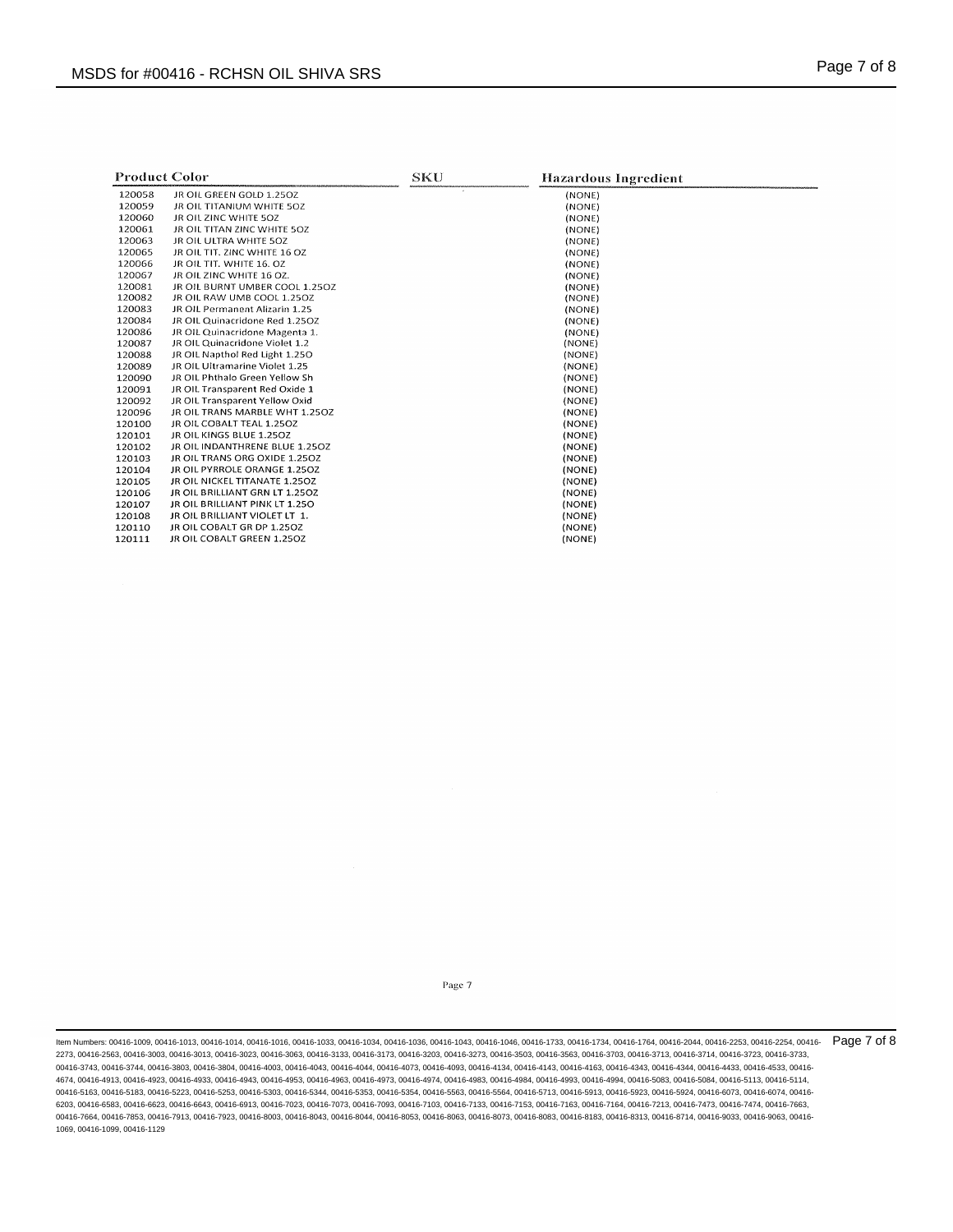| raye <i>i</i> u |  |
|-----------------|--|
|                 |  |

|        | <b>Product Color</b>           | <b>SKU</b> | Hazardous Ingredient |  |
|--------|--------------------------------|------------|----------------------|--|
| 120058 | JR OIL GREEN GOLD 1.25OZ       |            | (NONE)               |  |
| 120059 | JR OIL TITANIUM WHITE 50Z      |            | (NONE)               |  |
| 120060 | JR OIL ZINC WHITE 50Z          |            | (NONE)               |  |
| 120061 | JR OIL TITAN ZINC WHITE 5OZ    |            | (NONE)               |  |
| 120063 | JR OIL ULTRA WHITE 50Z         |            | (NONE)               |  |
| 120065 | JR OIL TIT. ZINC WHITE 16 OZ   |            | (NONE)               |  |
| 120066 | JR OIL TIT. WHITE 16, OZ       |            | (NONE)               |  |
| 120067 | JR OIL ZINC WHITE 16 OZ.       |            | (NONE)               |  |
| 120081 | JR OIL BURNT UMBER COOL 1.25OZ |            | (NONE)               |  |
| 120082 | JR OIL RAW UMB COOL 1.250Z     |            | (NONE)               |  |
| 120083 | JR OIL Permanent Alizarin 1.25 |            | (NONE)               |  |
| 120084 | JR OIL Quinacridone Red 1.25OZ |            | (NONE)               |  |
| 120086 | JR OIL Quinacridone Magenta 1. |            | (NONE)               |  |
| 120087 | JR OIL Quinacridone Violet 1.2 |            | (NONE)               |  |
| 120088 | JR OIL Napthol Red Light 1.250 |            | (NONE)               |  |
| 120089 | JR OIL Ultramarine Violet 1.25 |            | (NONE)               |  |
| 120090 | JR OIL Phthalo Green Yellow Sh |            | (NONE)               |  |
| 120091 | JR OIL Transparent Red Oxide 1 |            | (NONE)               |  |
| 120092 | JR OIL Transparent Yellow Oxid |            | (NONE)               |  |
| 120096 | JR OIL TRANS MARBLE WHT 1.25OZ |            | (NONE)               |  |
| 120100 | JR OIL COBALT TEAL 1.25OZ      |            | (NONE)               |  |
| 120101 | JR OIL KINGS BLUE 1.25OZ       |            | (NONE)               |  |
| 120102 | JR OIL INDANTHRENE BLUE 1.25OZ |            | (NONE)               |  |
| 120103 | JR OIL TRANS ORG OXIDE 1.250Z  |            | (NONE)               |  |
| 120104 | JR OIL PYRROLE ORANGE 1.250Z   |            | (NONE)               |  |
| 120105 | JR OIL NICKEL TITANATE 1.25OZ  |            | (NONE)               |  |
| 120106 | JR OIL BRILLIANT GRN LT 1.25OZ |            | (NONE)               |  |
| 120107 | JR OIL BRILLIANT PINK LT 1.250 |            | (NONE)               |  |
| 120108 | JR OIL BRILLIANT VIOLET LT 1.  |            | (NONE)               |  |
| 120110 | JR OIL COBALT GR DP 1.250Z     |            | (NONE)               |  |
| 120111 | JR OIL COBALT GREEN 1.25OZ     |            | (NONE)               |  |

Page 7

ltem Numbers: 00416-1009, 00416-1013, 00416-1014, 00416-1016, 00416-1033, 00416-1034, 00416-1036, 00416-1046, 00416-1733, 00416-1734, 00416-1764, 00416-2044, 00416-2253, 00416-2253, 00416-2254, 00416-2254, 00416-2253, 0041 2273, 00416-2563, 00416-3003, 00416-3013, 00416-3023, 00416-3063, 00416-3133, 00416-3173, 00416-3203, 00416-3273, 00416-3503, 00416-3563, 00416-3703, 00416-3713, 00416-3714, 00416-3723, 00416-3733, 00416-3743, 00416-3744, 00416-3803, 00416-3804, 00416-4003, 00416-4044, 00416-4044, 0040-403, 00416-4134, 00416-4143, 00416-4163, 00416-4343, 00416-4434, 00416-4433, 00416-4533, 00416-4163, 00416-4163, 00416-4534, 00416-453 4674, 00416-4913, 00416-4923, 00416-4933, 00416-4943, 00416-4953, 00416-4963, 00416-4973, 00416-4974, 00416-4983, 00416-4984, 00416-4993, 00416-4994, 00416-5083, 00416-5084, 00416-5113, 00416-5114, 00416-5163, 00416-5183, 00416-5223, 00416-5253, 00416-5303, 00416-5344, 00416-5353, 00416-5354, 00416-5563, 00416-5564, 00416-5713, 00416-5913, 00416-5923, 00416-5924, 00416-6073, 00416-6074, 00416- 6203, 00416-6583, 00416-6623, 00416-6643, 00416-6913, 00416-7023, 00416-7073, 00416-7093, 00416-7103, 00416-7133, 00416-7153, 00416-7163, 00416-7164, 00416-7213, 00416-7473, 00416-7474, 00416-7663, 00416-7664, 00416-7853, 00416-7913, 00416-7923, 00416-8003, 00416-8043, 00416-8044, 00416-8053, 00416-8063, 00416-8073, 00416-8083, 00416-8183, 00416-8313, 00416-8714, 00416-9033, 00416-9063, 00416- 1069, 00416-1099, 00416-1129